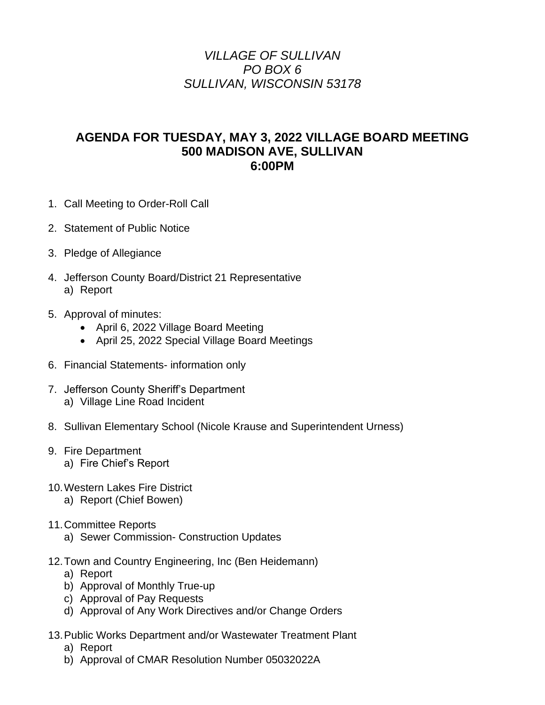## *VILLAGE OF SULLIVAN PO BOX 6 SULLIVAN, WISCONSIN 53178*

## **AGENDA FOR TUESDAY, MAY 3, 2022 VILLAGE BOARD MEETING 500 MADISON AVE, SULLIVAN 6:00PM**

- 1. Call Meeting to Order-Roll Call
- 2. Statement of Public Notice
- 3. Pledge of Allegiance
- 4. Jefferson County Board/District 21 Representative a) Report
- 5. Approval of minutes:
	- April 6, 2022 Village Board Meeting
	- April 25, 2022 Special Village Board Meetings
- 6. Financial Statements- information only
- 7. Jefferson County Sheriff's Department a) Village Line Road Incident
- 8. Sullivan Elementary School (Nicole Krause and Superintendent Urness)
- 9. Fire Department
	- a) Fire Chief's Report
- 10.Western Lakes Fire District
	- a) Report (Chief Bowen)
- 11.Committee Reports
	- a) Sewer Commission- Construction Updates
- 12.Town and Country Engineering, Inc (Ben Heidemann)
	- a) Report
	- b) Approval of Monthly True-up
	- c) Approval of Pay Requests
	- d) Approval of Any Work Directives and/or Change Orders
- 13.Public Works Department and/or Wastewater Treatment Plant
	- a) Report
	- b) Approval of CMAR Resolution Number 05032022A